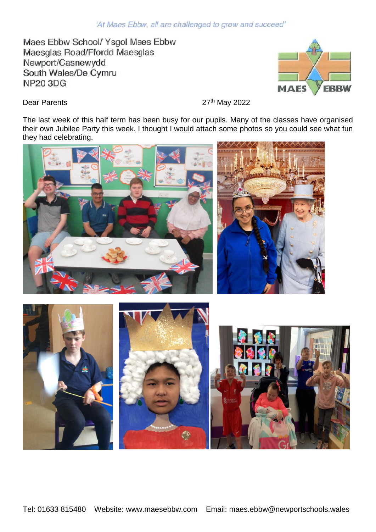## 'At Maes Ebbw, all are challenged to grow and succeed'

Maes Ebbw School/ Ysgol Maes Ebbw Maesglas Road/Ffordd Maesglas Newport/Casnewydd South Wales/De Cymru **NP20 3DG** 



Dear Parents 27th May 2022

The last week of this half term has been busy for our pupils. Many of the classes have organised their own Jubilee Party this week. I thought I would attach some photos so you could see what fun they had celebrating.